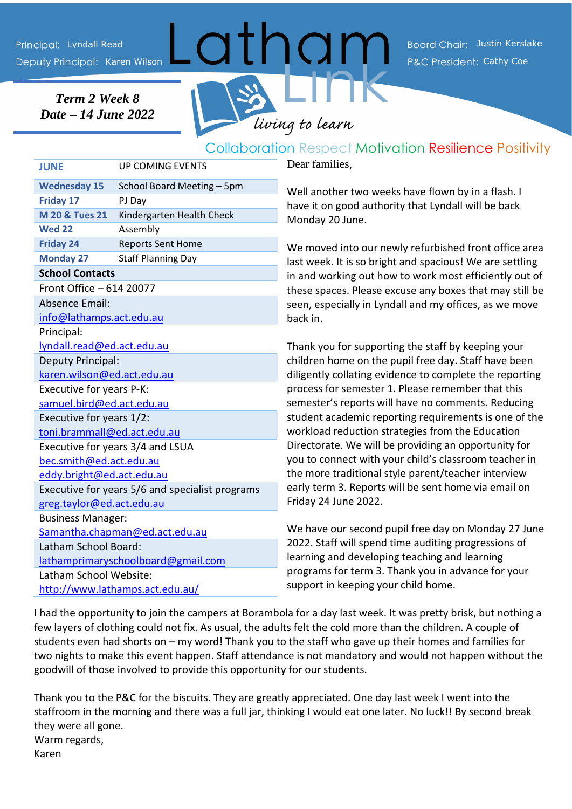Karen Wilson **Cathy Coe Cathy Coe Cathy Coe Cathy Coe** Cathy Coe Cathy Coe Cathy Coe Cathy Coe Cathy Coe Cathy Coe Lyndall Read Justin Kerslake Communist Communist Communist Communist Communist Board Chair: Justin Kerslake

*Term 2 Week 8 Date – 14 June 2022*



## Collaboration Respect Motivation Resilience Positivity

**JUNE** UP COMING EVENTS **Wednesday 15** School Board Meeting – 5pm **Friday 17** PJ Day **M 20 & Tues 21** Kindergarten Health Check **Wed 22** Assembly **Friday 24** Reports Sent Home **Monday 27** Staff Planning Day **School Contacts** Front Office – 614 20077 Absence Email: [info@lathamps.act.edu.au](mailto:info@lathamps.act.edu.au) Principal: [lyndall.read@ed.act.edu.au](mailto:lyndall.read@ed.act.edu.au) Deputy Principal: [karen.wilson@ed.act.edu.au](mailto:karen.wilson@ed.act.edu.au) Executive for years P-K: [samuel.bird@ed.act.edu.au](mailto:samuel.bird@ed.act.edu.au) Executive for years 1/2: [toni.brammall@ed.act.edu.au](mailto:toni.brammall@ed.act.edu.au) Executive for years 3/4 and LSUA [bec.smith@ed.act.edu.au](mailto:bec.smith@ed.act.edu.au) eddy.bright@ed.act.edu.au Executive for years 5/6 and specialist programs [greg.taylor@ed.act.edu.au](mailto:greg.taylor@ed.act.edu.au) Business Manager: [Samantha.chapman@ed.act.edu.au](mailto:Samantha.chapman@ed.act.edu.au) Latham School Board: [lathamprimaryschoolboard@gmail.com](mailto:lathamprimaryschoolboard@gmail.com) Latham School Website: <http://www.lathamps.act.edu.au/>

Dear families,

Well another two weeks have flown by in a flash. I have it on good authority that Lyndall will be back Monday 20 June.

We moved into our newly refurbished front office area last week. It is so bright and spacious! We are settling in and working out how to work most efficiently out of these spaces. Please excuse any boxes that may still be seen, especially in Lyndall and my offices, as we move back in.

Thank you for supporting the staff by keeping your children home on the pupil free day. Staff have been diligently collating evidence to complete the reporting process for semester 1. Please remember that this semester's reports will have no comments. Reducing student academic reporting requirements is one of the workload reduction strategies from the Education Directorate. We will be providing an opportunity for you to connect with your child's classroom teacher in the more traditional style parent/teacher interview early term 3. Reports will be sent home via email on Friday 24 June 2022.

We have our second pupil free day on Monday 27 June 2022. Staff will spend time auditing progressions of learning and developing teaching and learning programs for term 3. Thank you in advance for your support in keeping your child home.

I had the opportunity to join the campers at Borambola for a day last week. It was pretty brisk, but nothing a few layers of clothing could not fix. As usual, the adults felt the cold more than the children. A couple of students even had shorts on – my word! Thank you to the staff who gave up their homes and families for two nights to make this event happen. Staff attendance is not mandatory and would not happen without the goodwill of those involved to provide this opportunity for our students.

Thank you to the P&C for the biscuits. They are greatly appreciated. One day last week I went into the staffroom in the morning and there was a full jar, thinking I would eat one later. No luck!! By second break they were all gone. Warm regards, Karen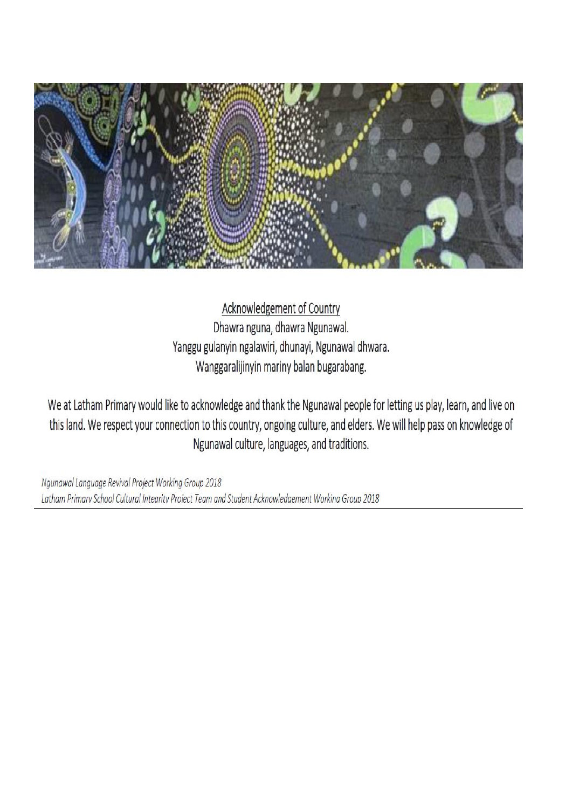

Acknowledgement of Country Dhawra nguna, dhawra Ngunawal. Yanggu gulanyin ngalawiri, dhunayi, Ngunawal dhwara. Wanggaralijinyin mariny balan bugarabang.

We at Latham Primary would like to acknowledge and thank the Ngunawal people for letting us play, learn, and live on this land. We respect your connection to this country, ongoing culture, and elders. We will help pass on knowledge of Ngunawal culture, languages, and traditions.

Ngunawal Language Revival Project Working Group 2018 Latham Primary School Cultural Integrity Project Team and Student Acknowledgement Working Group 2018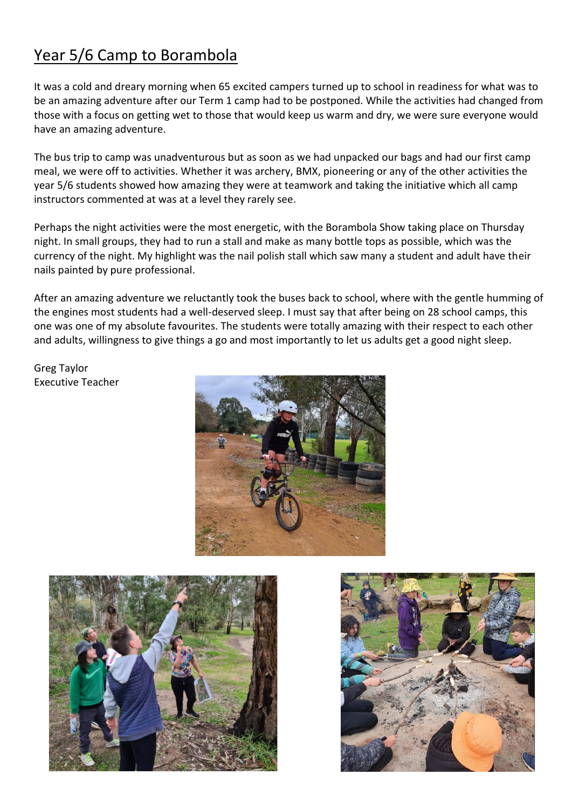# Year 5/6 Camp to Borambola

It was a cold and dreary morning when 65 excited campers turned up to school in readiness for what was to be an amazing adventure after our Term 1 camp had to be postponed. While the activities had changed from those with a focus on getting wet to those that would keep us warm and dry, we were sure everyone would have an amazing adventure.

The bus trip to camp was unadventurous but as soon as we had unpacked our bags and had our first camp meal, we were off to activities. Whether it was archery, BMX, pioneering or any of the other activities the year 5/6 students showed how amazing they were at teamwork and taking the initiative which all camp instructors commented at was at a level they rarely see.

Perhaps the night activities were the most energetic, with the Borambola Show taking place on Thursday night. In small groups, they had to run a stall and make as many bottle tops as possible, which was the currency of the night. My highlight was the nail polish stall which saw many a student and adult have their nails painted by pure professional.

After an amazing adventure we reluctantly took the buses back to school, where with the gentle humming of the engines most students had a well-deserved sleep. I must say that after being on 28 school camps, this one was one of my absolute favourites. The students were totally amazing with their respect to each other and adults, willingness to give things a go and most importantly to let us adults get a good night sleep.

Greg Taylor Executive Teacher





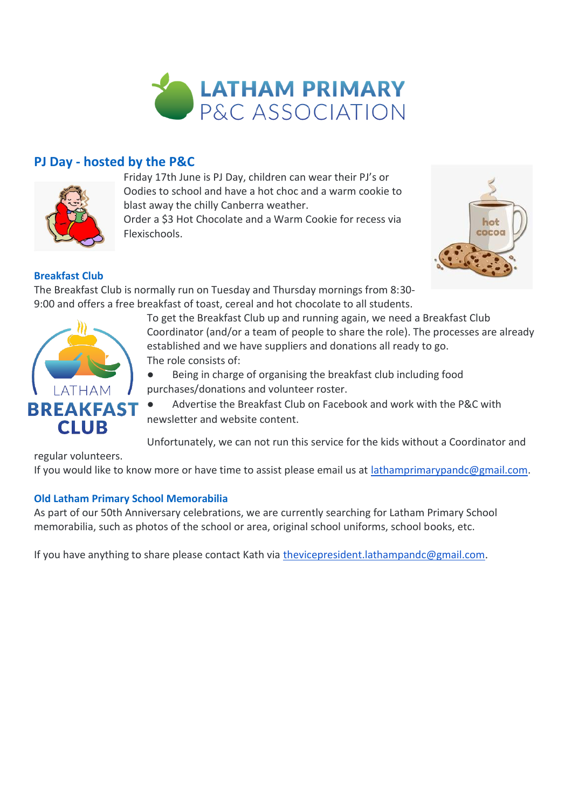

### **PJ Day - hosted by the P&C**



Friday 17th June is PJ Day, children can wear their PJ's or Oodies to school and have a hot choc and a warm cookie to blast away the chilly Canberra weather.

Order a \$3 Hot Chocolate and a Warm Cookie for recess via Flexischools.



#### **Breakfast Club**

The Breakfast Club is normally run on Tuesday and Thursday mornings from 8:30- 9:00 and offers a free breakfast of toast, cereal and hot chocolate to all students.

> To get the Breakfast Club up and running again, we need a Breakfast Club Coordinator (and/or a team of people to share the role). The processes are already established and we have suppliers and donations all ready to go. The role consists of:

● Being in charge of organising the breakfast club including food purchases/donations and volunteer roster.

Advertise the Breakfast Club on Facebook and work with the P&C with newsletter and website content.

Unfortunately, we can not run this service for the kids without a Coordinator and

regular volunteers.

If you would like to know more or have time to assist please email us at [lathamprimarypandc@gmail.com.](mailto:lathamprimarypandc@gmail.com)

#### **Old Latham Primary School Memorabilia**

As part of our 50th Anniversary celebrations, we are currently searching for Latham Primary School memorabilia, such as photos of the school or area, original school uniforms, school books, etc.

If you have anything to share please contact Kath via [thevicepresident.lathampandc@gmail.com](mailto:thevicepresident.lathampandc@gmail.com).

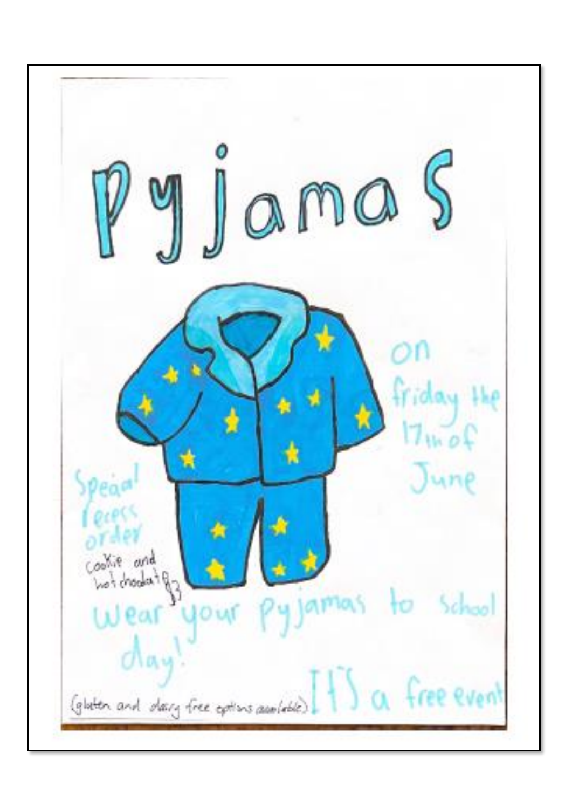